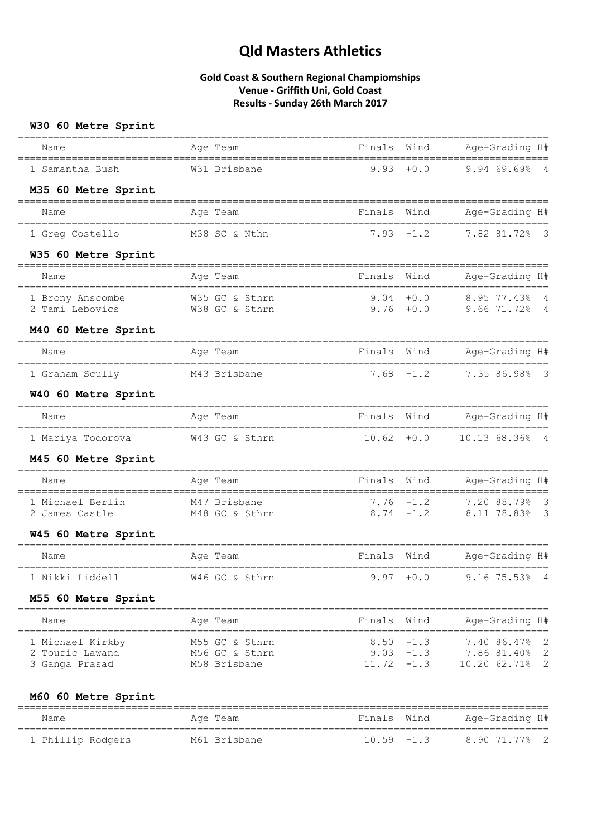### **Gold Coast & Southern Regional Champiomships Venue - Griffith Uni, Gold Coast Results - Sunday 26th March 2017**

| W30 60 Metre Sprint                                                                 |                                                |                       |              |                                                                                     |
|-------------------------------------------------------------------------------------|------------------------------------------------|-----------------------|--------------|-------------------------------------------------------------------------------------|
| =====================<br>Name                                                       | Age Team                                       | Finals Wind           |              | Age-Grading H#                                                                      |
| 1 Samantha Bush                                                                     | W31 Brisbane                                   | 9.93                  | $+0.0$       | $\overline{4}$<br>9.9469.69                                                         |
| M35 60 Metre Sprint                                                                 |                                                |                       |              |                                                                                     |
| Name                                                                                | Age Team                                       | Finals                | Wind         | Age-Grading H#                                                                      |
| 1 Greg Costello                                                                     | M38 SC & Nthn                                  |                       | $7.93 - 1.2$ | 7.82 81.72%<br>- 3                                                                  |
| W35 60 Metre Sprint                                                                 |                                                |                       |              |                                                                                     |
| Name                                                                                | Aqe Team                                       | Finals                | Wind         | Age-Grading H#                                                                      |
| 1 Brony Anscombe<br>2 Tami Lebovics                                                 | ==========<br>W35 GC & Sthrn<br>W38 GC & Sthrn | $9.76 + 0.0$          | $9.04 + 0.0$ | 8.95 77.43%<br>4<br>$9.6671.72$ % 4                                                 |
| M40 60 Metre Sprint                                                                 |                                                | ====================  |              |                                                                                     |
| Name                                                                                | Age Team                                       | Finals                | Wind         | Age-Grading H#                                                                      |
| ---------------------------------<br>1 Graham Scully                                | -----------------------<br>M43 Brisbane        | 7.68                  | $-1.2$       | 7.35 86.98% 3                                                                       |
| W40 60 Metre Sprint                                                                 |                                                |                       |              |                                                                                     |
| Name                                                                                | Age Team                                       | Finals                | Wind         | Age-Grading H#<br>===================                                               |
| 1 Mariya Todorova                                                                   | W43 GC & Sthrn                                 | $10.62 + 0.0$         |              | 10.13 68.36% 4                                                                      |
| M45 60 Metre Sprint                                                                 |                                                |                       |              |                                                                                     |
| ---------------------------------<br>Name                                           | Age Team                                       | Finals                | Wind         | Age-Grading H#                                                                      |
| 1 Michael Berlin                                                                    | M47 Brisbane                                   | $7.76 - 1.2$          |              | 7.20 88.79% 3                                                                       |
| 2 James Castle                                                                      | M48 GC & Sthrn                                 |                       |              | 8.74 -1.2 8.11 78.83% 3                                                             |
| W45 60 Metre Sprint                                                                 |                                                |                       |              |                                                                                     |
| Name                                                                                | Age Team                                       | Finals                | Wind         | Age-Grading H#                                                                      |
| 1 Nikki Liddell                                                                     | W46 GC & Sthrn                                 |                       |              | 9.97 +0.0 9.16 75.53% 4                                                             |
| M55 60 Metre Sprint                                                                 |                                                |                       |              |                                                                                     |
| Name                                                                                | Age Team                                       | ===================== | Finals Wind  | Age-Grading H#                                                                      |
| 1 Michael Kirkby M55 GC & Sthrn<br>2 Toufic Lawand M56 GC & Sthrn<br>3 Ganga Prasad | M58 Brisbane                                   |                       |              | $8.50 -1.3$ 7.40 86.47% 2<br>$9.03 -1.3$ 7.86 81.40% 2<br>11.72 -1.3 10.20 62.71% 2 |
| M60 60 Metre Sprint                                                                 |                                                |                       |              |                                                                                     |

========================================================================================= Name **Age Team** Age Team Finals Wind Age-Grading H# ========================================================================================= 1 Phillip Rodgers M61 Brisbane 10.59 -1.3 8.90 71.77% 2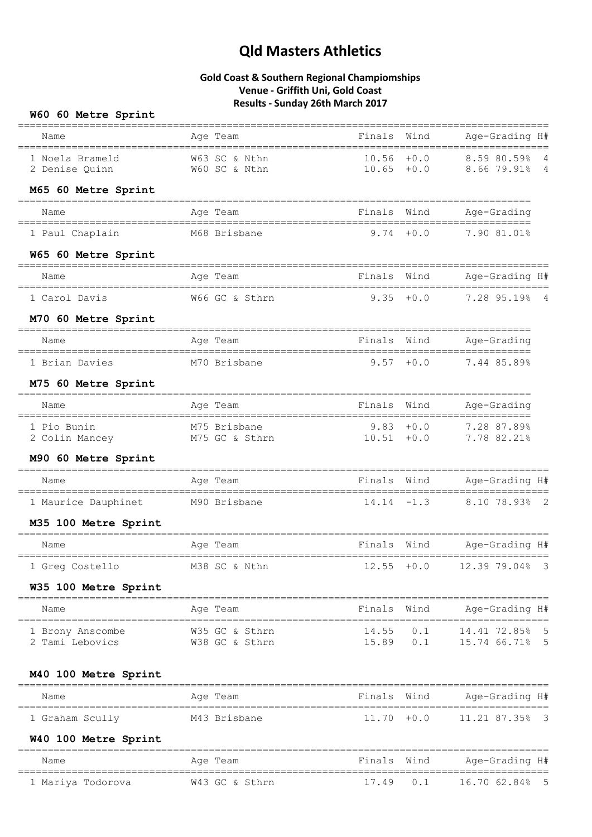## **Gold Coast & Southern Regional Champiomships Venue - Griffith Uni, Gold Coast Results - Sunday 26th March 2017**

### **W60 60 Metre Sprint**

| Name                                                                          | Age Team                                                | Finals Wind   |                    | ======================<br>Age-Grading H#              |
|-------------------------------------------------------------------------------|---------------------------------------------------------|---------------|--------------------|-------------------------------------------------------|
| 1 Noela Brameld<br>2 Denise Quinn                                             | W63 SC & Nthn<br>W60 SC & Nthn                          | $10.56 + 0.0$ |                    | 8.59 80.59% 4<br>$10.65$ +0.0 8.66 79.91% 4           |
| M65 60 Metre Sprint                                                           |                                                         |               |                    |                                                       |
| Name                                                                          | Age Team                                                | Finals        | Wind               | Age-Grading                                           |
| 1 Paul Chaplain                                                               | M68 Brisbane                                            |               | $9.74 + 0.0$       | 7.90 81.01%                                           |
| W65 60 Metre Sprint                                                           |                                                         |               |                    |                                                       |
| Name                                                                          | Age Team                                                | Finals Wind   |                    | Age-Grading H#                                        |
| 1 Carol Davis                                                                 | W66 GC & Sthrn                                          |               |                    | 9.35 +0.0 7.28 95.19% 4                               |
| M70 60 Metre Sprint                                                           |                                                         |               |                    |                                                       |
| Name                                                                          | Age Team                                                |               |                    | Finals Wind Age-Grading                               |
| 1 Brian Davies                                                                | M70 Brisbane                                            | $9.57 + 0.0$  |                    | 7.44 85.89%                                           |
| M75 60 Metre Sprint                                                           |                                                         |               |                    |                                                       |
| Name                                                                          | Age Team                                                | Finals        | Wind               | Age-Grading                                           |
| 1 Pio Bunin<br>2 Colin Mancey M75 GC & Sthrn                                  | M75 Brisbane                                            |               |                    | $9.83 + 0.0$ 7.28 87.89%<br>$10.51 + 0.0$ 7.78 82.21% |
| M90 60 Metre Sprint                                                           |                                                         |               |                    |                                                       |
| Name                                                                          | Age Team                                                |               | Finals Wind        | Age-Grading H#<br>----------------------              |
| 1 Maurice Dauphinet M90 Brisbane                                              |                                                         |               |                    | $14.14 - 1.3$ 8.10 78.93% 2                           |
| M35 100 Metre Sprint                                                          |                                                         |               |                    |                                                       |
| Name                                                                          | Age Team                                                | Finals Wind   |                    | Age-Grading H#                                        |
|                                                                               | 1 Greg Costello M38 SC & Nthn 12.55 +0.0 12.39 79.04% 3 |               |                    |                                                       |
| W35 100 Metre Sprint                                                          |                                                         |               |                    |                                                       |
| =========================<br>Name                                             | Age Team                                                | Finals Wind   |                    | Age-Grading H#                                        |
| ======================================<br>1 Brony Anscombe<br>2 Tami Lebovics | W35 GC & Sthrn<br>W38 GC & Sthrn                        | 15.89         | $14.55$ 0.1<br>0.1 | 14.41 72.85% 5<br>15.74 66.71% 5                      |
| M40 100 Metre Sprint                                                          |                                                         |               |                    |                                                       |
| Name                                                                          | Age Team                                                | Finals        | Wind               | Age-Grading H#                                        |
| 1 Graham Scully                                                               | M43 Brisbane                                            | 11.70         | $+0.0$             | 11.21 87.35% 3                                        |
| W40 100 Metre Sprint                                                          |                                                         |               |                    | ===============                                       |
| Name                                                                          | Aqe Team                                                | Finals        | Wind               | Age-Grading H#                                        |
| 1 Mariya Todorova                                                             | W43 GC & Sthrn                                          | 17.49         | 0.1                | ================<br>16.70 62.84% 5                    |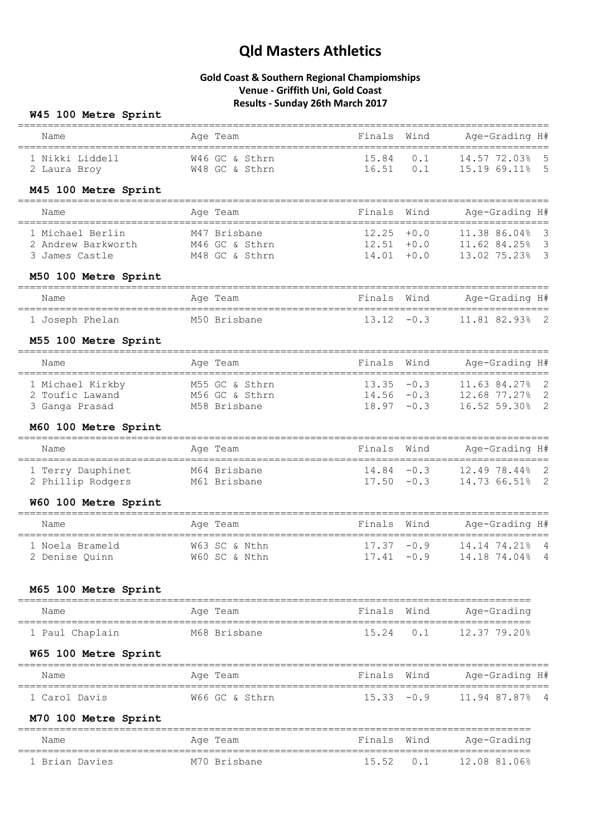### **Gold Coast & Southern Regional Champiomships Venue - Griffith Uni, Gold Coast Results - Sunday 26th March 2017**

#### **W45 100 Metre Sprint**

| =====================<br>Name<br>==================================== | Age Team                                         | ____________________<br>Finals<br>============================= | Wind                           | Age-Grading H#<br>=======================                                                               |
|-----------------------------------------------------------------------|--------------------------------------------------|-----------------------------------------------------------------|--------------------------------|---------------------------------------------------------------------------------------------------------|
| 1 Nikki Liddell<br>2 Laura Broy                                       | W46 GC & Sthrn<br>W48 GC & Sthrn                 | $16.51$ 0.1                                                     |                                | 15.84  0.1  14.57  72.03%  5<br>15.19 69.11% 5                                                          |
| M45 100 Metre Sprint                                                  |                                                  |                                                                 |                                |                                                                                                         |
| -----------------<br>Name                                             | Age Team                                         | Finals                                                          | Wind                           | Age-Grading H#                                                                                          |
| 1 Michael Berlin<br>2 Andrew Barkworth<br>3 James Castle              | M47 Brisbane<br>M46 GC & Sthrn<br>M48 GC & Sthrn | 12.25<br>12.51<br>14.01                                         | $+0.0$<br>$+0.0$<br>$+0.0$     | 11.38 86.04%<br>3<br>$\overline{\mathbf{3}}$<br>11.62 84.25%<br>$\overline{\mathbf{3}}$<br>13.02 75.23% |
| M50 100 Metre Sprint                                                  |                                                  |                                                                 |                                |                                                                                                         |
| Name                                                                  | Age Team                                         | Finals                                                          | Wind                           | Age-Grading H#<br>=======================                                                               |
| 1 Joseph Phelan                                                       | M50 Brisbane                                     | $13.12 - 0.3$                                                   |                                | $\overline{\phantom{0}}^2$<br>11.81 82.93%                                                              |
| M55 100 Metre Sprint                                                  |                                                  |                                                                 |                                |                                                                                                         |
| Name                                                                  | Age Team                                         | Finals                                                          | Wind                           | Age-Grading H#                                                                                          |
| 1 Michael Kirkby<br>2 Toufic Lawand M56 GC & Sthrn<br>3 Ganga Prasad  | M55 GC & Sthrn<br>M58 Brisbane                   | $13.35 - 0.3$<br>$18.97 - 0.3$                                  |                                | 11.63 84.27% 2<br>$14.56 -0.3$ 12.68 77.27% 2<br>16.52 59.30% 2                                         |
| M60 100 Metre Sprint                                                  |                                                  |                                                                 |                                |                                                                                                         |
| Name                                                                  | Age Team                                         | Finals                                                          | Wind                           | Age-Grading H#                                                                                          |
| 1 Terry Dauphinet<br>2 Phillip Rodgers                                | M64 Brisbane<br>M61 Brisbane                     |                                                                 | $14.84 - 0.3$<br>$17.50 - 0.3$ | 12.49 78.44%<br>$\overline{\phantom{0}}^2$<br>$\overline{\phantom{0}}^2$<br>14.73 66.51%                |
| W60 100 Metre Sprint                                                  |                                                  |                                                                 |                                |                                                                                                         |
| Name                                                                  | Age Team                                         | Finals                                                          | Wind                           | Age-Grading H#                                                                                          |
| 1 Noela Brameld<br>2 Denise Quinn                                     | W63 SC & Nthn<br>W60 SC & Nthn                   | $17.37 - 0.9$<br>$17.41 - 0.9$                                  |                                | $\overline{4}$<br>14.14 74.21%<br>$\overline{4}$<br>14.18 74.04%                                        |
| M65 100 Metre Sprint                                                  |                                                  |                                                                 |                                |                                                                                                         |
| Name                                                                  | Age Team                                         | Finals                                                          | Wind                           | Age-Grading                                                                                             |
| 1 Paul Chaplain                                                       | M68 Brisbane                                     | 15.24                                                           | 0.1                            | 12.37 79.20%                                                                                            |
| W65 100 Metre Sprint                                                  |                                                  |                                                                 |                                |                                                                                                         |

#### ========================================================================================= Name **Age Team** Age Team Finals Wind Age-Grading H# ========================================================================================= 1 Carol Davis W66 GC & Sthrn 15.33 -0.9 11.94 87.87% 4

### **M70 100 Metre Sprint**

| Name           | Age Team     | Finals Wind    | Aqe-Grading  |
|----------------|--------------|----------------|--------------|
| 1 Brian Davies | M70 Brisbane | $15.52 \t 0.1$ | 12.08 81.06% |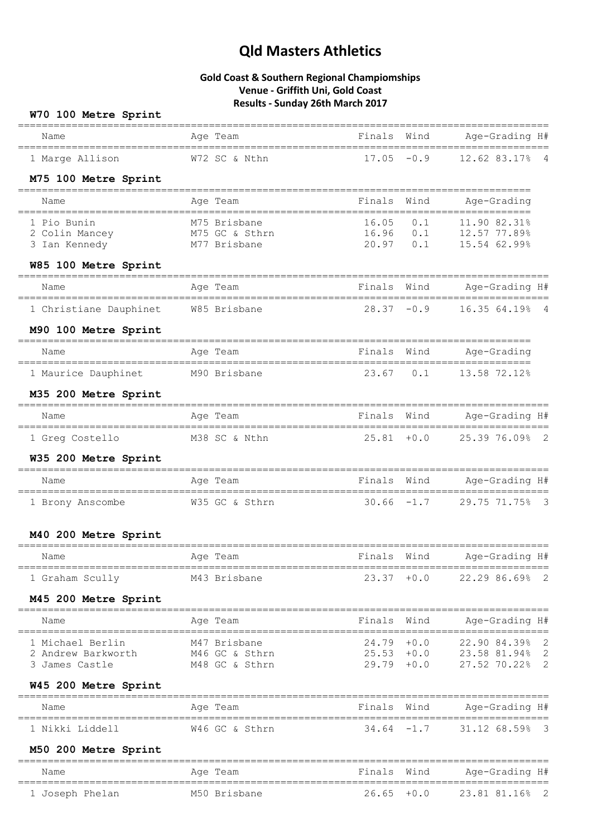## **Gold Coast & Southern Regional Champiomships Venue - Griffith Uni, Gold Coast Results - Sunday 26th March 2017**

### **W70 100 Metre Sprint**

| -------------------------------<br>Name<br>=================================== | Age Team                         |                              |               | Finals Wind Age-Grading H#                            |
|--------------------------------------------------------------------------------|----------------------------------|------------------------------|---------------|-------------------------------------------------------|
| 1 Marge Allison                                                                | W72 SC & Nthn                    | $17.05 - 0.9$                |               | 12.62 83.17% 4                                        |
| M75 100 Metre Sprint                                                           |                                  |                              |               |                                                       |
| Name                                                                           | Age Team                         | Finals                       | Wind          | Age-Grading                                           |
| 1 Pio Bunin                                                                    | M75 Brisbane                     | 16.05                        | 0.1           | 11.90 82.31%                                          |
| 2 Colin Mancey M75 GC & Sthrn<br>3 Ian Kennedy                                 | M77 Brisbane                     |                              |               | 16.96 0.1 12.57 77.89%<br>20.97 0.1 15.54 62.99%      |
| W85 100 Metre Sprint                                                           |                                  |                              |               |                                                       |
| Name                                                                           | Age Team                         | Finals Wind                  |               | Age-Grading H#                                        |
| 1 Christiane Dauphinet W85 Brisbane                                            |                                  |                              |               | 28.37 -0.9 16.35 64.19% 4                             |
| M90 100 Metre Sprint                                                           |                                  |                              |               |                                                       |
| Name                                                                           | Age Team                         | Finals Wind                  |               | Age-Grading                                           |
| 1 Maurice Dauphinet                                                            | M90 Brisbane                     | 23.67 0.1                    |               | 13.58 72.12%                                          |
| M35 200 Metre Sprint                                                           |                                  |                              |               |                                                       |
| Name                                                                           | Age Team                         | Finals Wind                  |               | Age-Grading H#                                        |
| 1 Greg Costello M38 SC & Nthn                                                  |                                  |                              |               | 25.81 +0.0 25.39 76.09% 2                             |
| W35 200 Metre Sprint                                                           |                                  |                              |               |                                                       |
| Name                                                                           | Age Team                         |                              |               | Finals Wind Age-Grading H#                            |
| 1 Brony Anscombe                                                               | W35 GC & Sthrn                   | $30.66 - 1.7$                |               | 29.75 71.75% 3                                        |
| M40 200 Metre Sprint                                                           |                                  |                              |               |                                                       |
| Name                                                                           | Age Team                         | Finals                       | Wind          | Age-Grading H#                                        |
| 1 Graham Scully                                                                | M43 Brisbane                     |                              | $23.37 + 0.0$ | 22.29 86.69%<br>$\overline{\phantom{0}}^2$            |
| M45 200 Metre Sprint                                                           |                                  |                              |               |                                                       |
| ==============================<br>Name                                         | Age Team                         | Finals                       | Wind          | Age-Grading H#                                        |
| ===================================<br>1 Michael Berlin                        | M47 Brisbane                     | ====================         |               | 24.79 +0.0 22.90 84.39%<br>$\overline{\phantom{0}}^2$ |
| 2 Andrew Barkworth<br>3 James Castle                                           | M46 GC & Sthrn<br>M48 GC & Sthrn | $25.53 + 0.0$<br>29.79 + 0.0 |               | 23.58 81.94% 2<br>27.52 70.22% 2                      |
| W45 200 Metre Sprint                                                           |                                  |                              |               |                                                       |
| Name                                                                           | Age Team                         | Finals                       | Wind          | Age-Grading H#                                        |
| 1 Nikki Liddell                                                                | W46 GC & Sthrn                   | 34.64                        | $-1.7$        | 31.12 68.59%<br>- 3                                   |
| M50 200 Metre Sprint                                                           |                                  |                              |               |                                                       |
| Name                                                                           | Aqe Team                         | Finals Wind                  |               | Age-Grading H#                                        |
| 1 Joseph Phelan                                                                | M50 Brisbane                     | $26.65 + 0.0$                |               | 23.81 81.16%<br>- 2                                   |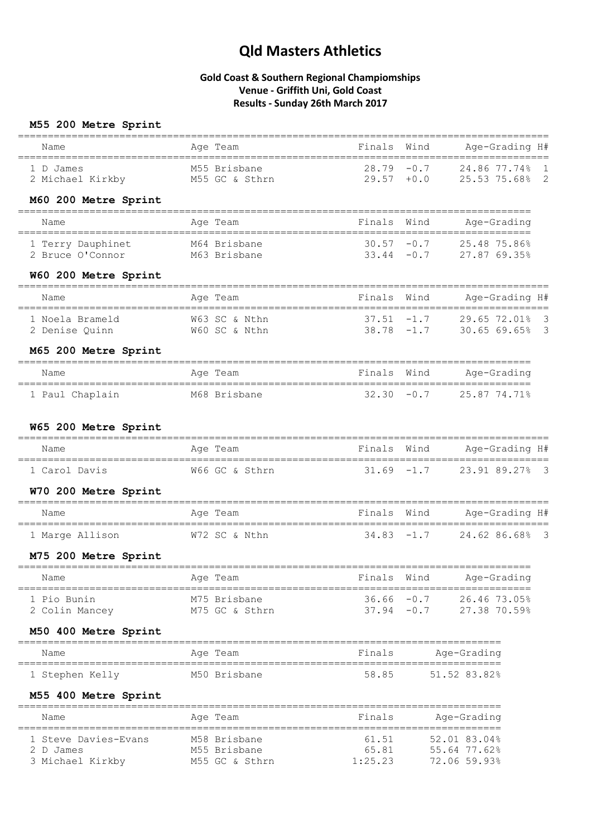### **Gold Coast & Southern Regional Champiomships Venue - Griffith Uni, Gold Coast Results - Sunday 26th March 2017**

## **M55 200 Metre Sprint**

| Name             | Age Team       | Finals Wind   | Age-Grading H# |
|------------------|----------------|---------------|----------------|
| 1 D James        | M55 Brisbane   | $28.79 - 0.7$ | 24.86 77.74% 1 |
| 2 Michael Kirkby | M55 GC & Sthrn | $29.57 + 0.0$ | 25.53 75.68% 2 |

#### **M60 200 Metre Sprint**

| Name                                  | Age Team                     | Finals Wind                    | Age-Grading                  |
|---------------------------------------|------------------------------|--------------------------------|------------------------------|
| 1 Terry Dauphinet<br>2 Bruce O'Connor | M64 Brisbane<br>M63 Brisbane | $30.57 - 0.7$<br>$33.44 - 0.7$ | 25.48 75.86%<br>27.87 69.35% |

#### **W60 200 Metre Sprint**

| Name            | Age Team      | Finals Wind   | Age-Grading H# |
|-----------------|---------------|---------------|----------------|
| 1 Noela Brameld | W63 SC & Nthn | $37.51 - 1.7$ | 29.65 72.01% 3 |
| 2 Denise Ouinn  | W60 SC & Nthn | $38.78 - 1.7$ | 30.65 69.65% 3 |

#### **M65 200 Metre Sprint**

| Name            | Age Team     | Finals Wind | Age-Grading               |
|-----------------|--------------|-------------|---------------------------|
| 1 Paul Chaplain | M68 Brisbane |             | $32.30 -0.7$ 25.87 74.71% |

### **W65 200 Metre Sprint**

| Name          | Age Team       | Finals Wind | Age-Grading H#              |
|---------------|----------------|-------------|-----------------------------|
| 1 Carol Davis | W66 GC & Sthrn |             | $31.69 -1.7$ 23.91 89.27% 3 |

#### **W70 200 Metre Sprint**

| Name            | Age Team      | Finals Wind | Age-Grading H#              |
|-----------------|---------------|-------------|-----------------------------|
| 1 Marge Allison | W72 SC & Nthn |             | $34.83 -1.7$ 24.62 86.68% 3 |

### **M75 200 Metre Sprint**

| Name           | Age Team       | Finals Wind   | Age-Grading  |
|----------------|----------------|---------------|--------------|
| 1 Pio Bunin    | M75 Brisbane   | $36.66 - 0.7$ | 26.46 73.05% |
| 2 Colin Mancey | M75 GC & Sthrn | $37.94 - 0.7$ | 27.38 70.59% |

#### **M50 400 Metre Sprint**

| Name            | Age Team     | Finals | Age-Grading  |
|-----------------|--------------|--------|--------------|
| 1 Stephen Kelly | M50 Brisbane | 58.85  | 51.52 83.82% |

### **M55 400 Metre Sprint**

| Name                 | Age Team       | Finals  | Age-Grading  |
|----------------------|----------------|---------|--------------|
| 1 Steve Davies-Evans | M58 Brisbane   | 61.51   | 52.01 83.04% |
| 2 D James            | M55 Brisbane   | 65.81   | 55.64 77.62% |
| 3 Michael Kirkby     | M55 GC & Sthrn | 1:25.23 | 72.06 59.93% |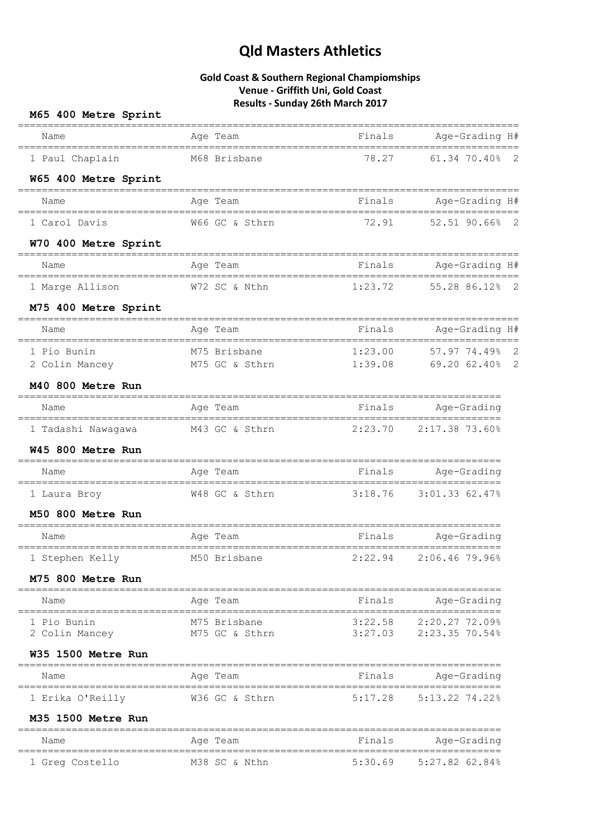| M65 400 Metre Sprint                 |                                                          |         |                          |
|--------------------------------------|----------------------------------------------------------|---------|--------------------------|
| Name                                 | Age Team                                                 |         | Finals Age-Grading H#    |
| 1 Paul Chaplain                      | M68 Brisbane                                             | 78.27   | 61.34 70.40% 2           |
| W65 400 Metre Sprint                 |                                                          |         |                          |
| Name                                 | Age Team                                                 | Finals  | Age-Grading H#           |
| 1 Carol Davis                        | W66 GC & Sthrn                                           | 72.91   | 52.51 90.66% 2           |
| W70 400 Metre Sprint                 |                                                          |         |                          |
| Name                                 | Age Team                                                 |         | Finals Age-Grading H#    |
| 1 Marge Allison                      | W72 SC & Nthn                                            |         | 1:23.72 55.28 86.12% 2   |
| M75 400 Metre Sprint                 |                                                          |         |                          |
|                                      | Age Team                                                 |         | Finals Age-Grading H#    |
| 1 Pio Bunin                          | M75 Brisbane                                             |         | $1:23.00$ 57.97 74.49% 2 |
|                                      | 2 Colin Mancey M75 GC & Sthrn 1:39.08 69.20 62.40% 2     |         |                          |
| M40 800 Metre Run                    |                                                          |         |                          |
| Name                                 | Age Team                                                 |         | Finals Age-Grading       |
|                                      | 1 Tadashi Nawagawa M43 GC & Sthrn 2:23.70 2:17.38 73.60% |         |                          |
| W45 800 Metre Run                    |                                                          |         |                          |
| Name                                 | Age Team                                                 |         | Finals Age-Grading       |
| 1 Laura Broy                         | W48 GC & Sthrn                                           |         | 3:18.76 3:01.33 62.47%   |
| M50 800 Metre Run                    |                                                          |         |                          |
| Name                                 | Age Team                                                 | Finals  | Age-Grading              |
| 1 Stephen Kelly                      | M50 Brisbane                                             | 2:22.94 | 2:06.46 79.96%           |
| M75 800 Metre Run                    |                                                          |         |                          |
| Name                                 | Age Team                                                 | Finals  | Age-Grading              |
| 1 Pio Bunin                          | M75 Brisbane                                             | 3:22.58 | 2:20.27 72.09%           |
| 2 Colin Mancey<br>W35 1500 Metre Run | M75 GC & Sthrn                                           |         | 3:27.03 2:23.35 70.54%   |
|                                      | ________________________                                 |         |                          |
| Name                                 | Age Team                                                 | Finals  | Age-Grading              |
| 1 Erika O'Reilly                     | W36 GC & Sthrn                                           | 5:17.28 | 5:13.22 74.22%           |
| M35 1500 Metre Run                   |                                                          |         |                          |
| Name                                 | Age Team                                                 | Finals  | Age-Grading              |
| 1 Greg Costello                      | M38 SC & Nthn                                            | 5:30.69 | $5:27.82$ 62.84%         |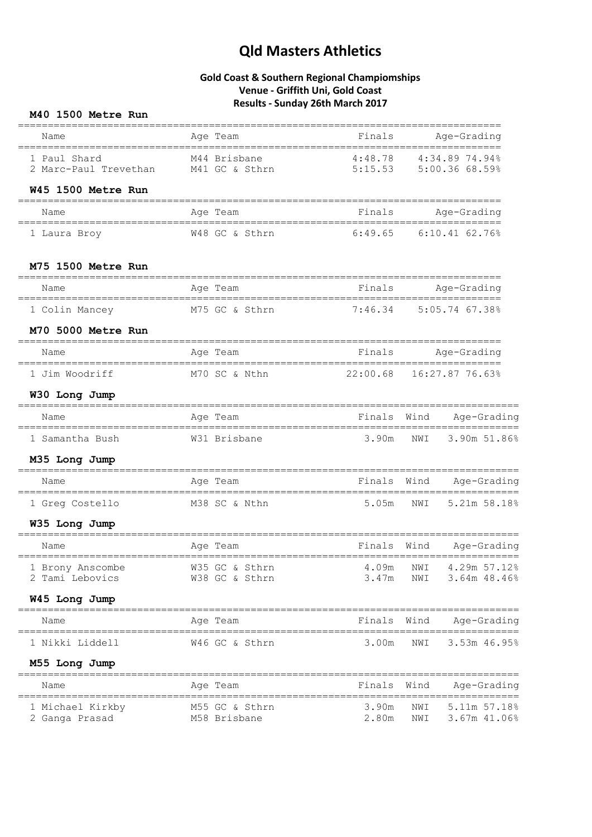## **Gold Coast & Southern Regional Champiomships Venue - Griffith Uni, Gold Coast Results - Sunday 26th March 2017**

### **M40 1500 Metre Run**

| Name                                                                      | ===========================<br>Age Team     | Finals         | Age-Grading                                      |
|---------------------------------------------------------------------------|---------------------------------------------|----------------|--------------------------------------------------|
|                                                                           |                                             |                |                                                  |
| 1 Paul Shard<br>2 Marc-Paul Trevethan M41 GC & Sthrn                      | M44 Brisbane                                |                | 4:48.78 4:34.89 74.94%<br>5:15.53 5:00.36 68.59% |
| W45 1500 Metre Run                                                        |                                             |                |                                                  |
| Name                                                                      | Age Team                                    | Finals         | Age-Grading                                      |
| 1 Laura Broy                                                              | W48 GC & Sthrn 6:49.65 6:10.41 62.76%       |                |                                                  |
| M75 1500 Metre Run                                                        |                                             |                |                                                  |
| Name                                                                      | Age Team                                    | Finals         | Age-Grading                                      |
| 1 Colin Mancey                                                            | M75 GC & Sthrn                              |                | 7:46.34 5:05.74 67.38%                           |
| M70 5000 Metre Run                                                        |                                             |                |                                                  |
| Name                                                                      | Age Team                                    |                | Finals Age-Grading                               |
| 1 Jim Woodriff                                                            | M70 SC & Nthn                               |                |                                                  |
| W30 Long Jump                                                             |                                             |                |                                                  |
| Name                                                                      | Age Team                                    | Finals Wind    | Age-Grading                                      |
| 1 Samantha Bush                                                           | W31 Brisbane                                | 3.90m          | NWI<br>3.90m 51.86%                              |
| M35 Long Jump                                                             |                                             |                |                                                  |
| Name<br>====================                                              | Age Team                                    | Finals Wind    | Age-Grading                                      |
| 1 Greg Costello                                                           | M38 SC & Nthn                               | 5.05m          | NWI 5.21m 58.18%                                 |
| W35 Long Jump                                                             |                                             |                |                                                  |
| Name                                                                      | Age Team                                    | Finals         | Wind<br>Age-Grading                              |
| 1 Brony Anscombe W35 GC & Sthrn 4.09m NWI 4.29m 57.12%<br>2 Tami Lebovics | W38 GC & Sthrn                              | 3.47m          | NWI<br>$3.64m$ 48.46%                            |
| W45 Long Jump                                                             |                                             |                |                                                  |
| =============<br>Name                                                     | Age Team                                    | Finals Wind    | Age-Grading                                      |
| ===================================<br>1 Nikki Liddell                    | =========================<br>W46 GC & Sthrn | 3.00m          | ====================<br>NWI<br>3.53m 46.95%      |
| M55 Long Jump                                                             |                                             |                |                                                  |
| Name                                                                      | Age Team                                    | Finals         | Wind<br>Age-Grading                              |
| 1 Michael Kirkby<br>2 Ganga Prasad                                        | M55 GC & Sthrn<br>M58 Brisbane              | 3.90m<br>2.80m | NWI<br>5.11m 57.18%<br>3.67m 41.06%<br>NWI       |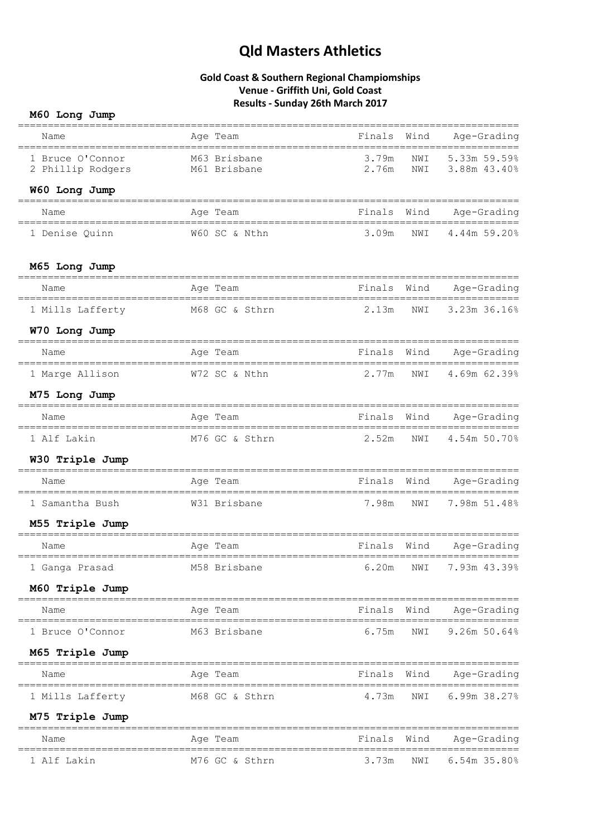|  | M60 Long Jump |  |
|--|---------------|--|
|--|---------------|--|

| Name                                  | ==============<br>Age Team          | Finals                   | Wind       | Age-Grading                                |
|---------------------------------------|-------------------------------------|--------------------------|------------|--------------------------------------------|
| 1 Bruce O'Connor<br>2 Phillip Rodgers | M63 Brisbane<br>M61 Brisbane        | 3.79m<br>2.76m           | NWI<br>NWI | 5.33m 59.59%<br>3.88m 43.40%               |
| W60 Long Jump                         |                                     |                          |            |                                            |
| Name                                  | Age Team                            | Finals                   | Wind       | Age-Grading                                |
| 1 Denise Quinn                        | W60 SC & Nthn                       | 3.09m                    | NWI        | 4.44m 59.20%                               |
| M65 Long Jump                         |                                     |                          |            |                                            |
| Name                                  | Age Team                            | Finals                   | Wind       | Age-Grading                                |
| 1 Mills Lafferty                      | M68 GC & Sthrn                      | 2.13m                    | NWI        | 3.23m 36.16%                               |
| W70 Long Jump                         |                                     |                          |            |                                            |
| Name                                  | Age Team                            |                          |            | Finals Wind Age-Grading                    |
| 1 Marge Allison                       | W72 SC & Nthn                       | 2.77m                    | NWI        | 4.69m 62.39%                               |
| M75 Long Jump                         |                                     |                          |            |                                            |
| Name                                  | Age Team                            | Finals                   | Wind       | Age-Grading                                |
| 1 Alf Lakin                           | M76 GC & Sthrn                      | 2.52m                    | NWI        | 4.54m 50.70%                               |
| W30 Triple Jump                       |                                     | ======================== |            |                                            |
| Name                                  | Age Team                            | Finals Wind              |            | ==========<br>Age-Grading                  |
| 1 Samantha Bush                       | W31 Brisbane                        | 7.98m                    | NWI        | 7.98m 51.48%                               |
| M55 Triple Jump                       |                                     |                          |            |                                            |
| Name                                  | Age Team                            | Finals                   | Wind       | Age-Grading                                |
| 1 Ganga Prasad                        | M58 Brisbane 6.20m NWI 7.93m 43.39% |                          |            |                                            |
| M60 Triple Jump                       |                                     |                          |            |                                            |
| ========================<br>Name      | Age Team                            |                          |            | Finals Wind Age-Grading                    |
| 1 Bruce O'Connor                      | M63 Brisbane                        | 6.75m                    | NWI        | 9.26m 50.64%                               |
| M65 Triple Jump                       |                                     |                          |            |                                            |
| Name                                  | Age Team                            | Finals                   | Wind       | Age-Grading                                |
| 1 Mills Lafferty                      | M68 GC & Sthrn                      | 4.73m                    | NWI        | $6.99m$ $38.27%$                           |
| M75 Triple Jump                       |                                     |                          |            |                                            |
| Name                                  | Age Team                            | Finals Wind              |            | ===========================<br>Age-Grading |
| 1 Alf Lakin                           | M76 GC & Sthrn                      | 3.73m                    | NWI        | $6.54m$ 35.80%                             |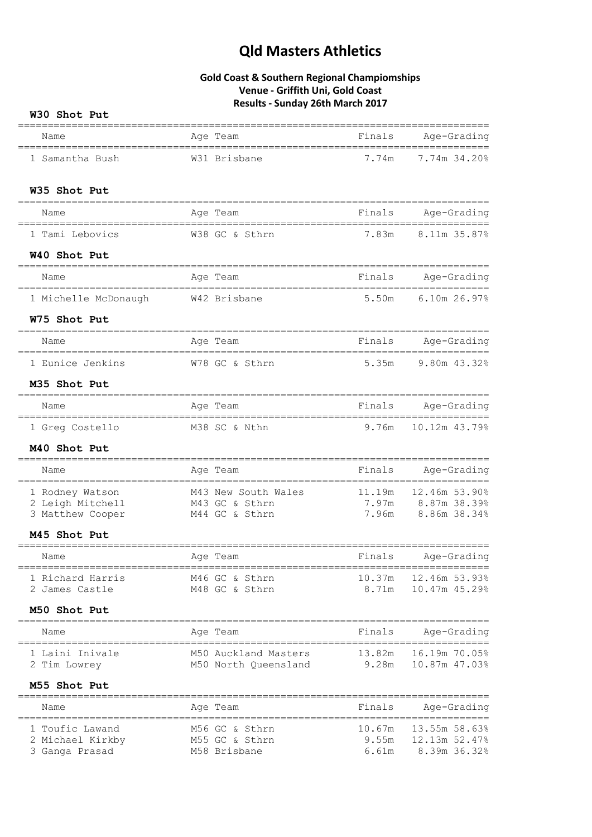### **Gold Coast & Southern Regional Champiomships Venue - Griffith Uni, Gold Coast Results - Sunday 26th March 2017**

**W30 Shot Put**

| Name                                                   | Age Team                                 | Finals                                 | Age-Grading                            |
|--------------------------------------------------------|------------------------------------------|----------------------------------------|----------------------------------------|
| 1 Samantha Bush                                        | W31 Brisbane                             | 7.74m                                  | 7.74m 34.20%                           |
| W35 Shot Put                                           |                                          |                                        |                                        |
|                                                        |                                          |                                        |                                        |
| Name                                                   | Age Team                                 | Finals                                 | Age-Grading                            |
| 1 Tami Lebovics                                        | W38 GC & Sthrn                           | 7.83m                                  | 8.11m 35.87%                           |
| W40 Shot Put                                           |                                          |                                        |                                        |
| Name                                                   | Age Team                                 | Finals                                 | -----------------------<br>Age-Grading |
| 1 Michelle McDonaugh                                   | W42 Brisbane                             | 5.50m                                  | 6.10m 26.97%                           |
| W75 Shot Put                                           |                                          |                                        |                                        |
| Name                                                   | Age Team                                 | ============================<br>Finals | Age-Grading                            |
| ==================================<br>1 Eunice Jenkins | ======================<br>W78 GC & Sthrn | 5.35m                                  | =================<br>9.80m 43.32%      |
| M35 Shot Put                                           |                                          |                                        |                                        |
| Name                                                   | Age Team                                 | Finals                                 | Age-Grading                            |
| 1 Greg Costello                                        | M38 SC & Nthn                            | 9.76m                                  | 10.12m 43.79%                          |
| M40 Shot Put                                           |                                          |                                        |                                        |
| Name                                                   | Age Team                                 | Finals                                 | Age-Grading                            |
| 1 Rodney Watson                                        | M43 New South Wales                      | 11.19m                                 | 12.46m 53.90%                          |
| 2 Leigh Mitchell                                       | M43 GC & Sthrn                           |                                        | $7.97m$ $8.87m$ $38.39\%$              |
| 3 Matthew Cooper                                       | M44 GC & Sthrn                           |                                        | 7.96m 8.86m 38.34%                     |
| M45 Shot Put                                           |                                          |                                        |                                        |
| ============================<br>Name                   | ============================<br>Age Team | Finals                                 | Age-Grading                            |
| 1 Richard Harris                                       | M46 GC & Sthrn                           |                                        | 10.37m 12.46m 53.93%                   |
| 2 James Castle                                         | M48 GC & Sthrn                           | 8.71m                                  | 10.47m 45.29%                          |
| M50 Shot Put<br>====================                   |                                          |                                        |                                        |
| Name                                                   | Age Team                                 | Finals                                 | Age-Grading                            |
| 1 Laini Inivale                                        | M50 Auckland Masters                     | 13.82m                                 | 16.19m 70.05%                          |
| 2 Tim Lowrey                                           | M50 North Queensland                     | 9.28m                                  | 10.87m 47.03%                          |
| M55 Shot Put                                           |                                          |                                        |                                        |
| Name                                                   | Age Team                                 | Finals                                 | Age-Grading                            |
| 1 Toufic Lawand                                        | M56 GC & Sthrn                           | 10.67m                                 | 13.55m 58.63%                          |
| 2 Michael Kirkby                                       | M55 GC & Sthrn                           | 9.55m                                  | 12.13m 52.47%                          |
| 3 Ganga Prasad                                         | M58 Brisbane                             | 6.61m                                  | 8.39m 36.32%                           |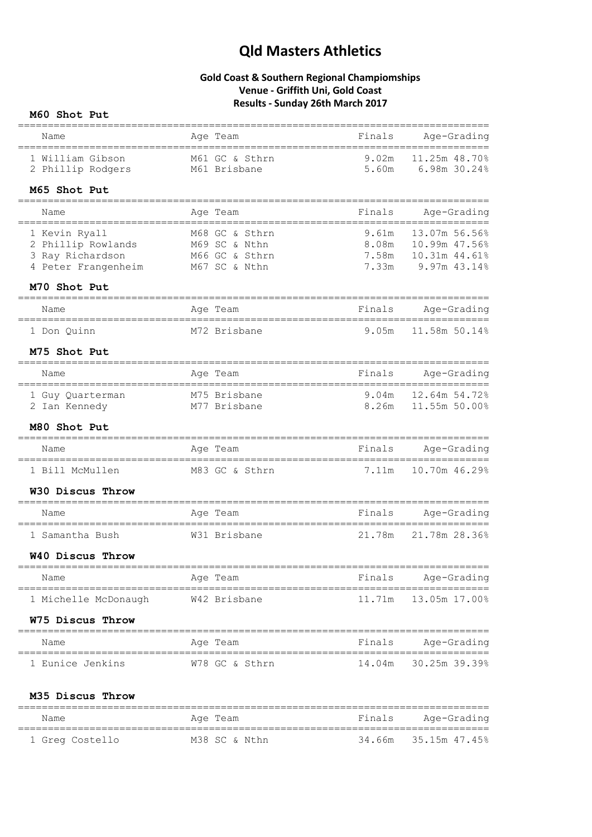## **Gold Coast & Southern Regional Champiomships Venue - Griffith Uni, Gold Coast Results - Sunday 26th March 2017**

## **M60 Shot Put**

|                                                                                                                                                                    |                                  | ================================== |                                                                                               |
|--------------------------------------------------------------------------------------------------------------------------------------------------------------------|----------------------------------|------------------------------------|-----------------------------------------------------------------------------------------------|
| Name                                                                                                                                                               | Age Team                         |                                    | Finals Age-Grading                                                                            |
| 1 William Gibson<br>2 Phillip Rodgers M61 Brisbane                                                                                                                 | M61 GC & Sthrn                   | 9.02m<br>5.60m                     | 11.25m 48.70%<br>6.98m 30.24%                                                                 |
| M65 Shot Put                                                                                                                                                       |                                  |                                    |                                                                                               |
| Name                                                                                                                                                               | Age Team                         | Finals                             | Age-Grading                                                                                   |
| ____________________________________<br>1 Kevin Ryall<br>2 Phillip Rowlands M69 SC & Nthn<br>3 Ray Richardson<br>4 Peter Frangenheim M67 SC & Nthn<br>M70 Shot Put | M68 GC & Sthrn<br>M66 GC & Sthrn |                                    | 9.61m 13.07m 56.56%<br>8.08m 10.99m 47.56%<br>7.58m    10.31m    44.61%<br>7.33m 9.97m 43.14% |
| Name                                                                                                                                                               | Age Team                         | Finals                             | Age-Grading                                                                                   |
| 1 Don Quinn                                                                                                                                                        | M72 Brisbane                     | 9.05m                              | 11.58m 50.14%                                                                                 |
| M75 Shot Put                                                                                                                                                       |                                  |                                    |                                                                                               |
| Name                                                                                                                                                               | Age Team                         | __________________________________ | =================<br>Finals Age-Grading                                                       |
| 1 Guy Quarterman M75 Brisbane<br>2 Ian Kennedy                                                                                                                     | M77 Brisbane                     |                                    | 9.04m 12.64m 54.72%<br>8.26m 11.55m 50.00%                                                    |
| M80 Shot Put                                                                                                                                                       |                                  |                                    |                                                                                               |
| Name<br>====================================                                                                                                                       | Age Team                         |                                    | Finals Age-Grading                                                                            |
| 1 Bill McMullen                                                                                                                                                    | M83 GC & Sthrn                   |                                    | 7.11m  10.70m  46.29%                                                                         |
| W30 Discus Throw                                                                                                                                                   |                                  |                                    |                                                                                               |
| Name                                                                                                                                                               | Age Team                         |                                    | Finals Age-Grading                                                                            |
| 1 Samantha Bush                                                                                                                                                    | W31 Brisbane                     | 21.78m                             | 21.78m 28.36%                                                                                 |
| W40 Discus Throw<br>===============================                                                                                                                |                                  |                                    |                                                                                               |
| Name                                                                                                                                                               | Age Team                         | Finals                             | Age-Grading                                                                                   |
| 1 Michelle McDonaugh                                                                                                                                               | W42 Brisbane                     | 11.71m                             | 13.05m 17.00%                                                                                 |
| W75 Discus Throw                                                                                                                                                   |                                  |                                    |                                                                                               |
| Name                                                                                                                                                               | Age Team                         | Finals                             | Age-Grading                                                                                   |
| 1 Eunice Jenkins                                                                                                                                                   | W78 GC & Sthrn                   |                                    | 14.04m 30.25m 39.39%                                                                          |
| M35 Discus Throw                                                                                                                                                   |                                  |                                    |                                                                                               |
| Name                                                                                                                                                               | Age Team                         |                                    | Finals Age-Grading                                                                            |
| 1 Greg Costello                                                                                                                                                    | M38 SC & Nthn                    |                                    | 34.66m 35.15m 47.45%                                                                          |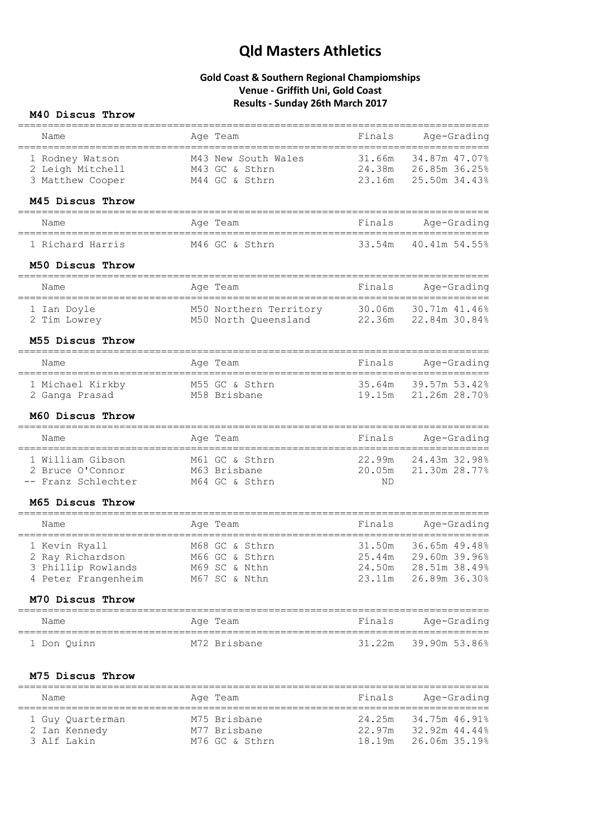## **Gold Coast & Southern Regional Champiomships Venue - Griffith Uni, Gold Coast Results - Sunday 26th March 2017**

### **M40 Discus Throw**

|                                                            |                                           |                 | =============================== |
|------------------------------------------------------------|-------------------------------------------|-----------------|---------------------------------|
| Name<br>======================================             | Age Team                                  | Finals          | Age-Grading<br>$==$             |
| 1 Rodney Watson                                            | M43 New South Wales                       | 31.66m          | 34.87m 47.07%                   |
| 2 Leigh Mitchell                                           | M43 GC & Sthrn                            |                 | 24.38m 26.85m 36.25%            |
| 3 Matthew Cooper                                           | M44 GC & Sthrn                            | 23.16m          | 25.50m 34.43%                   |
| M45 Discus Throw<br>==================================     |                                           |                 |                                 |
| Name                                                       | Age Team                                  | Finals          | Age-Grading                     |
| 1 Richard Harris                                           | M46 GC & Sthrn                            |                 | 33.54m 40.41m 54.55%            |
| M50 Discus Throw                                           |                                           |                 |                                 |
| Name                                                       | Age Team                                  | Finals          | Age-Grading                     |
| 1 Ian Doyle                                                | M50 Northern Territory 30.06m             |                 | 30.71m 41.46%                   |
| 2 Tim Lowrey                                               | M50 North Queensland 22.36m 22.84m 30.84% |                 |                                 |
| M55 Discus Throw                                           |                                           |                 |                                 |
| Name                                                       | Age Team                                  | Finals          | Age-Grading                     |
| 1 Michael Kirkby                                           | M55 GC & Sthrn                            | 35.64m          | 39.57m 53.42%                   |
| 2 Ganga Prasad                                             | M58 Brisbane                              | 19.15m          | 21.26m 28.70%                   |
| M60 Discus Throw<br>=====================================  | ==================================        |                 |                                 |
| Name                                                       | Age Team                                  | Finals          | Age-Grading                     |
| 1 William Gibson                                           | M61 GC & Sthrn                            |                 | 22.99m 24.43m 32.98%            |
| 2 Bruce O'Connor                                           | M63 Brisbane                              | 20.05m          | 21.30m 28.77%                   |
| -- Franz Schlechter                                        | M64 GC & Sthrn                            | ND.             |                                 |
| M65 Discus Throw                                           |                                           |                 |                                 |
| Name                                                       | Age Team                                  | Finals          | Age-Grading                     |
| 1 Kevin Ryall                                              | M68 GC & Sthrn                            | 31.50m          | 36.65m 49.48%                   |
| 2 Ray Richardson                                           | M66 GC & Sthrn                            | 25.44m          | 29.60m 39.96%                   |
| 3 Phillip Rowlands M69 SC & Nthn                           |                                           |                 | 24.50m 28.51m 38.49%            |
| 4 Peter Frangenheim                                        | M67 SC & Nthn                             |                 | 23.11m 26.89m 36.30%            |
| M70 Discus Throw<br>====================================== |                                           |                 |                                 |
| Name<br>__________________________________                 | Age Team                                  | Finals          | Age-Grading                     |
| 1 Don Quinn                                                | M72 Brisbane                              | 31 <b>.</b> 22m | 39.90m 53.86%                   |
| M75 Discus Throw                                           |                                           |                 |                                 |
| Name                                                       | Age Team                                  | Finals          | Age-Grading                     |
| 1 Guy Quarterman                                           | M75 Brisbane                              | 24.25m          | 34.75m 46.91%                   |
| 2 Ian Kennedy                                              | M77 Brisbane                              | 22.97m          | 32.92m 44.44%                   |
| 3 Alf Lakin                                                | M76 GC & Sthrn                            | 18.19m          | 26.06m 35.19%                   |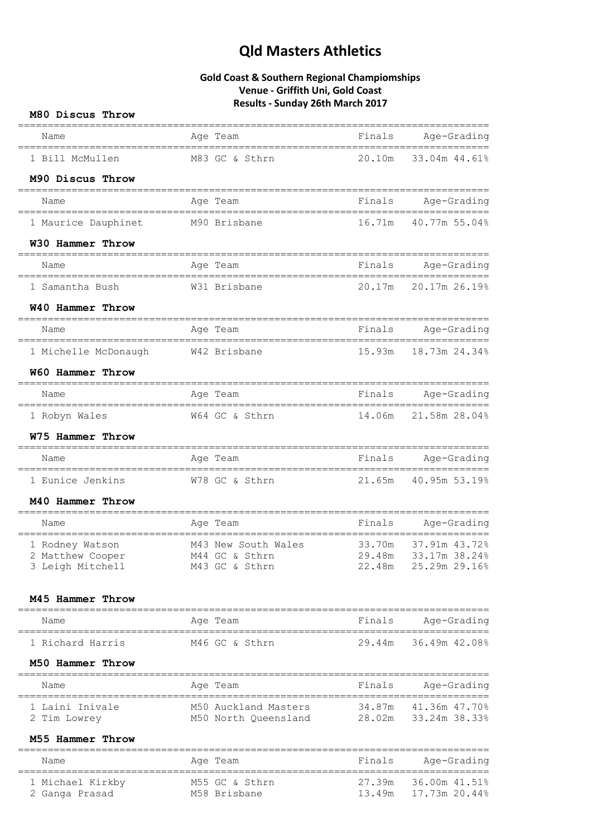| M80 Discus Throw                             |                                              |                  |                                 |
|----------------------------------------------|----------------------------------------------|------------------|---------------------------------|
| Name<br>================================     | Age Team                                     | Finals           | Age-Grading                     |
| 1 Bill McMullen                              | M83 GC & Sthrn                               | 20.10m           | 33.04m 44.61%                   |
| M90 Discus Throw                             |                                              |                  |                                 |
| Name                                         | Age Team                                     | Finals           | Age-Grading                     |
| 1 Maurice Dauphinet                          | M90 Brisbane                                 | 16.71m           | 40.77m 55.04%                   |
| W30 Hammer Throw                             |                                              |                  |                                 |
| Name<br>-----------------------------------  | Age Team<br>=========================        | Finals           | Age-Grading<br>================ |
| 1 Samantha Bush                              | W31 Brisbane                                 | 20.17m           | 20.17m 26.19%                   |
| W40 Hammer Throw                             |                                              |                  |                                 |
| Name                                         | Age Team                                     | Finals           | Age-Grading                     |
| 1 Michelle McDonaugh                         | W42 Brisbane                                 | 15.93m           | 18.73m 24.34%                   |
| W60 Hammer Throw                             |                                              |                  |                                 |
| Name                                         | Age Team                                     | Finals           | Age-Grading                     |
| 1 Robyn Wales                                | W64 GC & Sthrn                               | 14.06m           | 21.58m 28.04%                   |
| W75 Hammer Throw                             |                                              |                  |                                 |
| Name<br>==================================== | Age Team                                     | Finals           | Age-Grading                     |
| 1 Eunice Jenkins                             | W78 GC & Sthrn                               | 21.65m           | 40.95m 53.19%                   |
| M40 Hammer Throw                             |                                              |                  | ------------------              |
| Name                                         | Age Team                                     | Finals           | Age-Grading                     |
| 1 Rodney Watson                              | M43 New South Wales                          | 33.70m<br>29.48m | 37.91m 43.72%<br>33.17m 38.24%  |
| 2 Matthew Cooper<br>3 Leigh Mitchell         | M44 GC & Sthrn<br>M43 GC & Sthrn             | 22.48m           | 25.29m 29.16%                   |
| M45 Hammer Throw                             |                                              |                  |                                 |
| ------------------------------<br>Name       | ================================<br>Age Team | Finals           | Age-Grading                     |
| 1 Richard Harris                             | M46 GC & Sthrn                               | 29.44m           | 36.49m 42.08%                   |
| M50 Hammer Throw                             |                                              |                  |                                 |
| Name                                         | Age Team                                     | Finals           | Age-Grading                     |
| 1 Laini Inivale                              | M50 Auckland Masters                         | 34.87m           | 41.36m 47.70%                   |
| 2 Tim Lowrey<br>M55 Hammer Throw             | M50 North Queensland                         | 28.02m           | 33.24m 38.33%                   |
| Name                                         |                                              | Finals           |                                 |
|                                              | Age Team                                     |                  | Age-Grading                     |
| 1 Michael Kirkby<br>2 Ganga Prasad           | M55 GC & Sthrn<br>M58 Brisbane               | 27.39m<br>13.49m | 36.00m 41.51%<br>17.73m 20.44%  |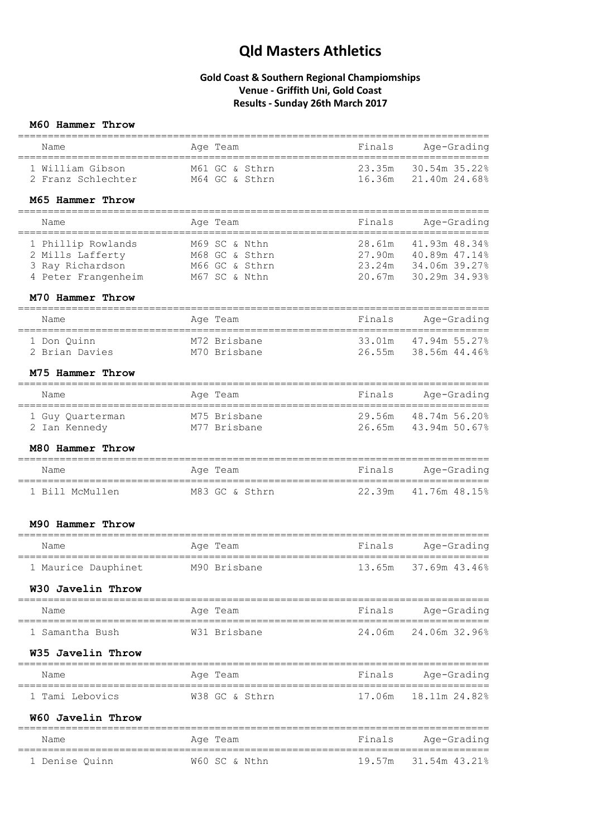## **Gold Coast & Southern Regional Champiomships Venue - Griffith Uni, Gold Coast Results - Sunday 26th March 2017**

### **M60 Hammer Throw**

| Name<br>====================================                                                                                         | Age Team       | Finals<br>Age-Grading                              |
|--------------------------------------------------------------------------------------------------------------------------------------|----------------|----------------------------------------------------|
| 1 William Gibson<br>2 Franz Schlechter M64 GC & Sthrn                                                                                | M61 GC & Sthrn | 23.35m<br>30.54m 35.22%<br>16.36m<br>21.40m 24.68% |
| M65 Hammer Throw                                                                                                                     |                |                                                    |
|                                                                                                                                      |                |                                                    |
| Name                                                                                                                                 | Age Team       | Finals<br>Age-Grading                              |
| 1 Phillip Rowlands<br>2 Mills Lafferty<br>3 Ray Richardson<br>4 Peter Franceshed M66 GC & Sthrn<br>4 Peter Franceshed M66 GC & Sthrn |                | 28.61m 41.93m 48.34%<br>27.90m 40.89m 47.14%       |
|                                                                                                                                      |                | 23.24m 34.06m 39.27%                               |
| 4 Peter Frangenheim M67 SC & Nthn                                                                                                    |                | 20.67m 30.29m 34.93%                               |
| M70 Hammer Throw                                                                                                                     |                |                                                    |
| Name                                                                                                                                 | Age Team       | Finals<br>Age-Grading                              |
| 1 Don Quinn                                                                                                                          | M72 Brisbane   | 33.01m 47.94m 55.27%                               |
| 2 Brian Davies                                                                                                                       | M70 Brisbane   | 26.55m 38.56m 44.46%                               |
| M75 Hammer Throw                                                                                                                     |                | ======================                             |
| Name                                                                                                                                 | Age Team       | Finals<br>Age-Grading                              |
| 1 Guy Quarterman M75 Brisbane<br>2 Ian Kennedy M77 Brisbane                                                                          |                | 29.56m 48.74m 56.20%<br>26.65m 43.94m 50.67%       |
|                                                                                                                                      |                |                                                    |
| M80 Hammer Throw                                                                                                                     |                |                                                    |
| Name<br>==================================                                                                                           | Age Team       | Age-Grading<br>Finals<br>$===$                     |
| 1 Bill McMullen                                                                                                                      | M83 GC & Sthrn | 41.76m 48.15%<br>22.39m                            |
| M90 Hammer Throw                                                                                                                     |                |                                                    |
| Name                                                                                                                                 | Age Team       | Finals<br>Age-Grading                              |
| 1 Maurice Dauphinet M90 Brisbane                                                                                                     |                | 13.65m<br>37.69m 43.46%                            |
| W30 Javelin Throw                                                                                                                    |                |                                                    |
| Name                                                                                                                                 | Age Team       | Finals<br>Age-Grading                              |
| 1 Samantha Bush                                                                                                                      | W31 Brisbane   | 24.06m 24.06m 32.96%                               |
| W35 Javelin Throw                                                                                                                    |                |                                                    |
| Name                                                                                                                                 | Age Team       | ================<br>Finals<br>Age-Grading          |
| =============<br>1 Tami Lebovics                                                                                                     | W38 GC & Sthrn | 17.06m<br>18.11m 24.82%                            |
| W60 Javelin Throw                                                                                                                    |                |                                                    |
| Name                                                                                                                                 | Age Team       | Age-Grading<br>Finals                              |
| 1 Denise Quinn                                                                                                                       | W60 SC & Nthn  | 19.57m 31.54m 43.21%                               |
|                                                                                                                                      |                |                                                    |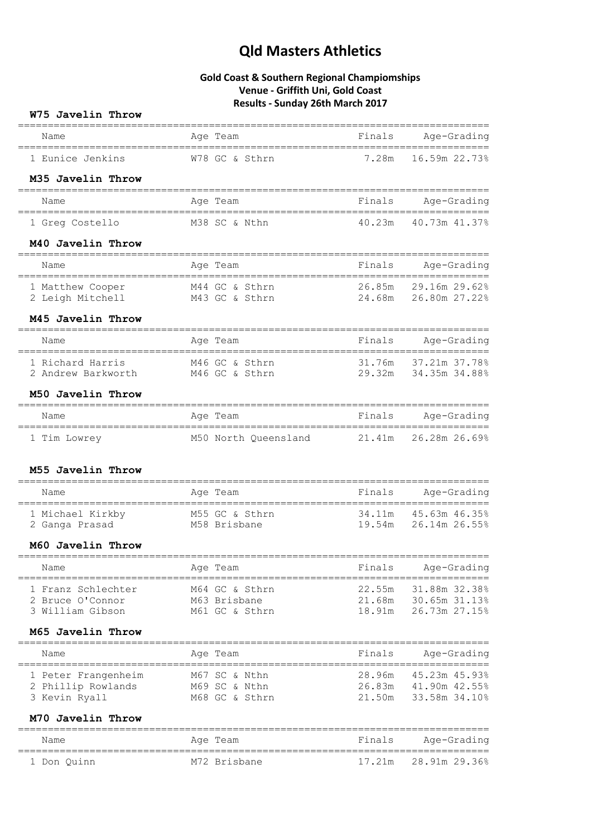| W75 Javelin Throw                                          |                                                  |                            |                                                 |
|------------------------------------------------------------|--------------------------------------------------|----------------------------|-------------------------------------------------|
| Name<br>._________________________________                 | Age Team<br>---------------------                | Finals                     | Age-Grading                                     |
| 1 Eunice Jenkins                                           | W78 GC & Sthrn                                   | 7.28m                      | 16.59m 22.73%                                   |
| M35 Javelin Throw                                          |                                                  |                            |                                                 |
| Name                                                       | Age Team                                         | Finals                     | Age-Grading                                     |
| 1 Greg Costello                                            | M38 SC & Nthn                                    | 40.23m                     | 40.73m 41.37%                                   |
| M40 Javelin Throw                                          |                                                  |                            |                                                 |
| Name                                                       | Age Team                                         | Finals                     | Age-Grading                                     |
| 1 Matthew Cooper<br>2 Leigh Mitchell                       | M44 GC & Sthrn<br>M43 GC & Sthrn                 | 26.85m<br>24.68m           | 29.16m 29.62%<br>26.80m 27.22%                  |
| M45 Javelin Throw                                          |                                                  |                            |                                                 |
| Name                                                       | ===============================<br>Age Team      | Finals                     | Age-Grading                                     |
| 1 Richard Harris<br>2 Andrew Barkworth M46 GC & Sthrn      | M46 GC & Sthrn                                   | 31.76m<br>29.32m           | 37.21m 37.78%<br>34.35m 34.88%                  |
| M50 Javelin Throw                                          |                                                  |                            |                                                 |
| Name                                                       | Age Team                                         | Finals                     | Age-Grading                                     |
| 1 Tim Lowrey                                               | M50 North Queensland                             | 21.41m                     | 26.28m 26.69%                                   |
| M55 Javelin Throw                                          |                                                  |                            |                                                 |
| Name                                                       | Age Team                                         | Finals                     | Age-Grading                                     |
| 1 Michael Kirkby<br>2 Ganga Prasad                         | M55 GC & Sthrn<br>M58 Brisbane                   | 34.11m<br>19.54m           | 45.63m 46.35%<br>26.14m 26.55%                  |
| M60 Javelin Throw                                          |                                                  |                            |                                                 |
| Name                                                       | Age Team                                         | Finals                     | Age-Grading                                     |
| 1 Franz Schlechter<br>2 Bruce O'Connor<br>3 William Gibson | M64 GC & Sthrn<br>M63 Brisbane<br>M61 GC & Sthrn | 22.55m<br>21.68m<br>18.91m | 31.88m 32.38%<br>30.65m 31.13%<br>26.73m 27.15% |
| M65 Javelin Throw                                          |                                                  |                            |                                                 |
| Name                                                       | Age Team                                         | Finals                     | Age-Grading                                     |
| 1 Peter Frangenheim<br>2 Phillip Rowlands<br>3 Kevin Ryall | M67 SC & Nthn<br>M69 SC & Nthn<br>M68 GC & Sthrn | 28.96m<br>26.83m<br>21.50m | 45.23m 45.93%<br>41.90m 42.55%<br>33.58m 34.10% |
| M70 Javelin Throw                                          |                                                  |                            |                                                 |
| Name                                                       | Age Team                                         | Finals                     | Age-Grading                                     |
| 1 Don Quinn                                                | M72 Brisbane                                     | ==============<br>17.21m   | 28.91m 29.36%                                   |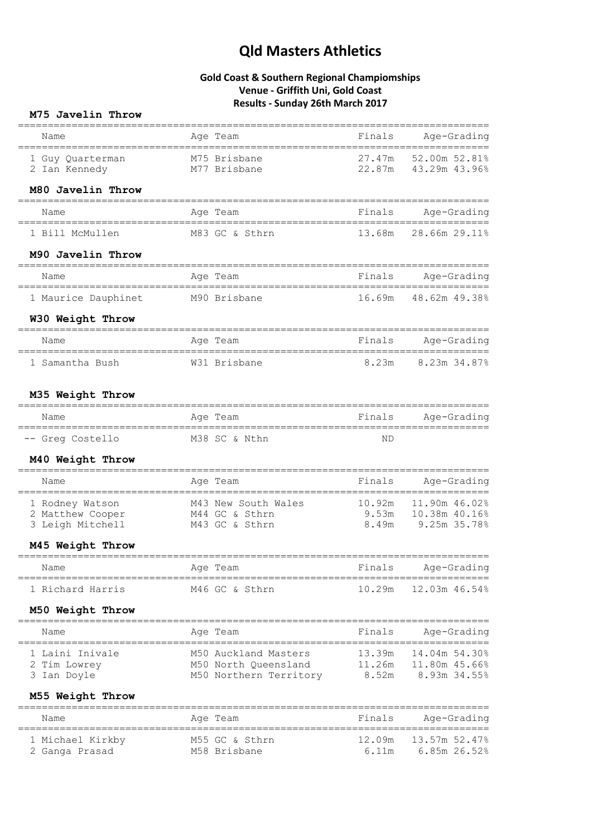## **Gold Coast & Southern Regional Champiomships Venue - Griffith Uni, Gold Coast Results - Sunday 26th March 2017**

### **M75 Javelin Throw**

|                                                         |                                                                                                                                                |                  | ===============================          |
|---------------------------------------------------------|------------------------------------------------------------------------------------------------------------------------------------------------|------------------|------------------------------------------|
| Name                                                    | Age Team                                                                                                                                       | Finals           | Age-Grading                              |
| 1 Guy Quarterman<br>2 Ian Kennedy                       | M75 Brisbane<br>M77 Brisbane                                                                                                                   | 27.47m<br>22.87m | 52.00m 52.81%<br>43.29m 43.96%           |
| M80 Javelin Throw                                       |                                                                                                                                                |                  |                                          |
| Name                                                    | Age Team                                                                                                                                       | Finals           | Age-Grading                              |
| 1 Bill McMullen                                         | M83 GC & Sthrn                                                                                                                                 |                  | 13.68m 28.66m 29.11%                     |
| M90 Javelin Throw                                       |                                                                                                                                                |                  |                                          |
| Name                                                    | Age Team                                                                                                                                       | Finals           | Age-Grading                              |
| 1 Maurice Dauphinet                                     | M90 Brisbane                                                                                                                                   |                  | 16.69m 48.62m 49.38%                     |
| W30 Weight Throw                                        |                                                                                                                                                |                  |                                          |
| Name<br>:===============================                | Age Team                                                                                                                                       | Finals           | Age-Grading<br>==========                |
| 1 Samantha Bush                                         | =======================<br>W31 Brisbane                                                                                                        | 8.23m            | 8.23m 34.87%                             |
| M35 Weight Throw                                        |                                                                                                                                                |                  |                                          |
| Name                                                    | Age Team                                                                                                                                       | Finals           | Age-Grading                              |
| -- Greg Costello                                        | M38 SC & Nthn                                                                                                                                  | <b>ND</b>        |                                          |
| M40 Weight Throw                                        |                                                                                                                                                |                  |                                          |
| Name                                                    | Age Team                                                                                                                                       | Finals           | Age-Grading                              |
| 1 Rodney Watson<br>2 Matthew Cooper<br>3 Leigh Mitchell | M43 New South Wales                 10.92m   11.90m 46.02%<br>M44 GC & Sthrn                           9.53m   10.38m 40.16%<br>M43 GC & Sthrn |                  | 8.49m 9.25m 35.78%                       |
| M45 Weight Throw                                        |                                                                                                                                                |                  |                                          |
| Age Team<br>Name                                        |                                                                                                                                                | Finals           | Age-Grading                              |
| 1 Richard Harris                                        | M46 GC & Sthrn                                                                                                                                 | 10.29m           | 12.03m 46.54%                            |
| M50 Weight Throw                                        |                                                                                                                                                |                  |                                          |
| Name                                                    | Age Team                                                                                                                                       |                  | Finals Age-Grading                       |
| 1 Laini Inivale<br>2 Tim Lowrey<br>3 Ian Doyle          | M50 Auckland Masters<br>M50 North Queensland 11.26m 11.80m 45.66%<br>M50 Northern Territory 8.52m 8.93m 34.55%                                 |                  |                                          |
| M55 Weight Throw                                        |                                                                                                                                                |                  |                                          |
| Name                                                    | Age Team                                                                                                                                       |                  | Finals Age-Grading                       |
| 1 Michael Kirkby<br>2 Ganga Prasad                      | M55 GC & Sthrn<br>M58 Brisbane                                                                                                                 | 6.11m            | 12.09m   13.57m   52.47%<br>6.85m 26.52% |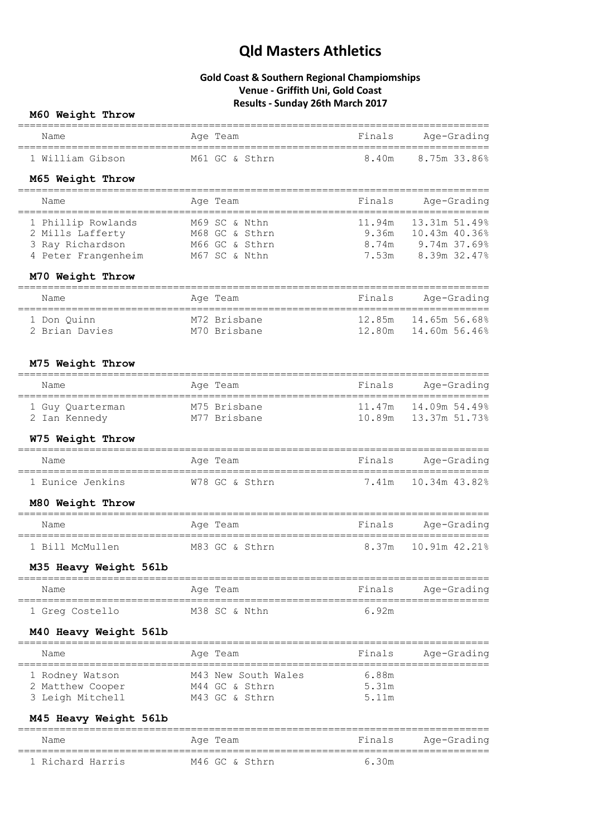### **Gold Coast & Southern Regional Champiomships Venue - Griffith Uni, Gold Coast Results - Sunday 26th March 2017**

### **M60 Weight Throw**

| Name             | Age Team       | Finals | Aqe-Gradinq  |
|------------------|----------------|--------|--------------|
| 1 William Gibson | M61 GC & Sthrn | 8.40m  | 8.75m 33.86% |

### **M65 Weight Throw**

| Name                | Age Team       | Finals | Age-Grading   |
|---------------------|----------------|--------|---------------|
|                     |                |        |               |
| 1 Phillip Rowlands  | M69 SC & Nthn  | 11.94m | 13.31m 51.49% |
| 2 Mills Lafferty    | M68 GC & Sthrn | 9.36m  | 10.43m 40.36% |
| 3 Ray Richardson    | M66 GC & Sthrn | 8.74m  | 9.74m 37.69%  |
| 4 Peter Frangenheim | M67 SC & Nthn  | 7.53m  | 8.39m 32.47%  |
|                     |                |        |               |

### **M70 Weight Throw**

| Name           | Age Team     | Finals | Age-Grading |
|----------------|--------------|--------|-------------|
| 1 Don Ouinn    | M72 Brisbane |        |             |
| 2 Brian Davies | M70 Brisbane |        |             |

#### **M75 Weight Throw**

| Name             | Age Team     | Finals | Age-Grading   |
|------------------|--------------|--------|---------------|
| 1 Guy Ouarterman | M75 Brisbane | 10.89m |               |
| 2 Ian Kennedy    | M77 Brisbane |        | 13.37m 51.73% |

### **W75 Weight Throw**

| Name             | Age Team       | Finals | Age-Grading         |
|------------------|----------------|--------|---------------------|
| 1 Eunice Jenkins | W78 GC & Sthrn |        | 7.41m 10.34m 43.82% |

#### **M80 Weight Throw**

| Name            | Age Team       | Finals | Age-Grading         |
|-----------------|----------------|--------|---------------------|
| 1 Bill McMullen | M83 GC & Sthrn |        | 8.37m 10.91m 42.21% |

### **M35 Heavy Weight 56lb**

| Name            | Age Team      | Finals | Age-Grading |
|-----------------|---------------|--------|-------------|
| 1 Greg Costello | M38 SC & Nthn | 6.92m  |             |

### **M40 Heavy Weight 56lb**

| Name             | Age Team            | Finals | Age-Grading |
|------------------|---------------------|--------|-------------|
| 1 Rodney Watson  | M43 New South Wales | 6.88m  |             |
| 2 Matthew Cooper | M44 GC & Sthrn      | 5.31m  |             |
| 3 Leigh Mitchell | M43 GC & Sthrn      | 5.11m  |             |

## **M45 Heavy Weight 56lb**

| Name             | Age Team       | Finals | Age-Grading |
|------------------|----------------|--------|-------------|
| 1 Richard Harris | M46 GC & Sthrn | 6.30m  |             |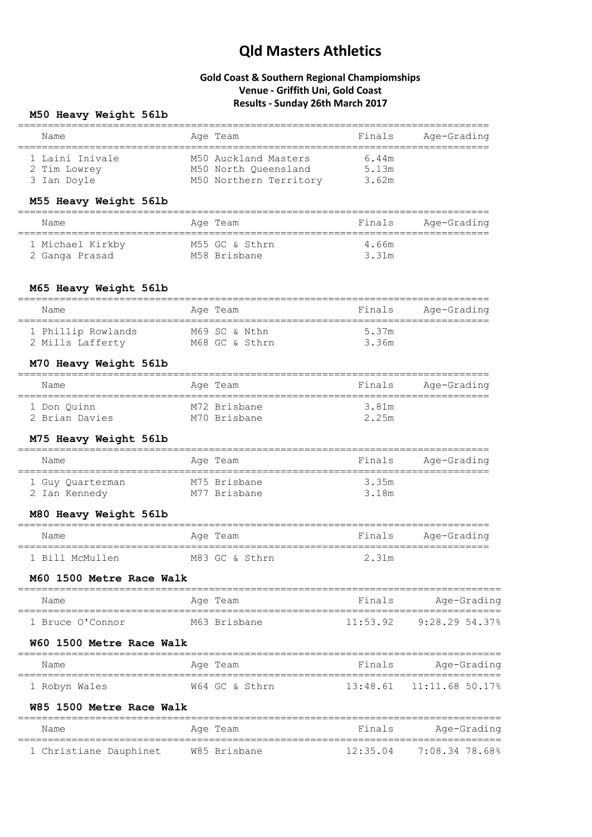### **Gold Coast & Southern Regional Champiomships Venue - Griffith Uni, Gold Coast Results - Sunday 26th March 2017**

### **M50 Heavy Weight 56lb**

| Name            | Age Team               | Finals | Age-Grading |
|-----------------|------------------------|--------|-------------|
| 1 Laini Inivale | M50 Auckland Masters   | 6.44m  |             |
| 2 Tim Lowrey    | M50 North Oueensland   | 5.13m  |             |
| 3 Ian Doyle     | M50 Northern Territory | 3.62m  |             |

### **M55 Heavy Weight 56lb**

| Name             | Age Team       | Finals | Age-Grading |
|------------------|----------------|--------|-------------|
| 1 Michael Kirkby | M55 GC & Sthrn | 4.66m  |             |
| 2 Ganga Prasad   | M58 Brisbane   | 3.31m  |             |

### **M65 Heavy Weight 56lb**

| Name               | Age Team       | Finals | Age-Grading |
|--------------------|----------------|--------|-------------|
| 1 Phillip Rowlands | M69 SC & Nthn  | 5.37m  |             |
| 2 Mills Lafferty   | M68 GC & Sthrn | 3.36m  |             |

#### **M70 Heavy Weight 56lb**

| Name           | Age Team     | Finals | Age-Grading |
|----------------|--------------|--------|-------------|
| 1 Don Ouinn    | M72 Brisbane | 3.81m  |             |
| 2 Brian Davies | M70 Brisbane | 2.25m  |             |

### **M75 Heavy Weight 56lb**

| Name             | Age Team     | Finals | Age-Grading |
|------------------|--------------|--------|-------------|
| 1 Guy Quarterman | M75 Brisbane | 3.35m  |             |
| 2 Ian Kennedy    | M77 Brisbane | 3.18m  |             |

### **M80 Heavy Weight 56lb**

| Name            | Age Team       | Finals | Age-Grading |
|-----------------|----------------|--------|-------------|
| 1 Bill McMullen | M83 GC & Sthrn | 2.31m  |             |

#### **M60 1500 Metre Race Walk**

| Name             | Age Team     | Finals   | Age-Grading    |
|------------------|--------------|----------|----------------|
| 1 Bruce O'Connor | M63 Brisbane | 11:53.92 | 9:28.29 54.37% |

#### **W60 1500 Metre Race Walk**

| Name          | Age Team       | Finals | Age-Grading                  |
|---------------|----------------|--------|------------------------------|
| 1 Robyn Wales | W64 GC & Sthrn |        | $13:48.61$ $11:11.68$ 50.17% |

#### **W85 1500 Metre Race Walk**

| Name                   | Age Team     | Finals | Age-Grading                 |
|------------------------|--------------|--------|-----------------------------|
| 1 Christiane Dauphinet | W85 Brisbane |        | $12:35.04$ $7:08.34$ 78.68% |